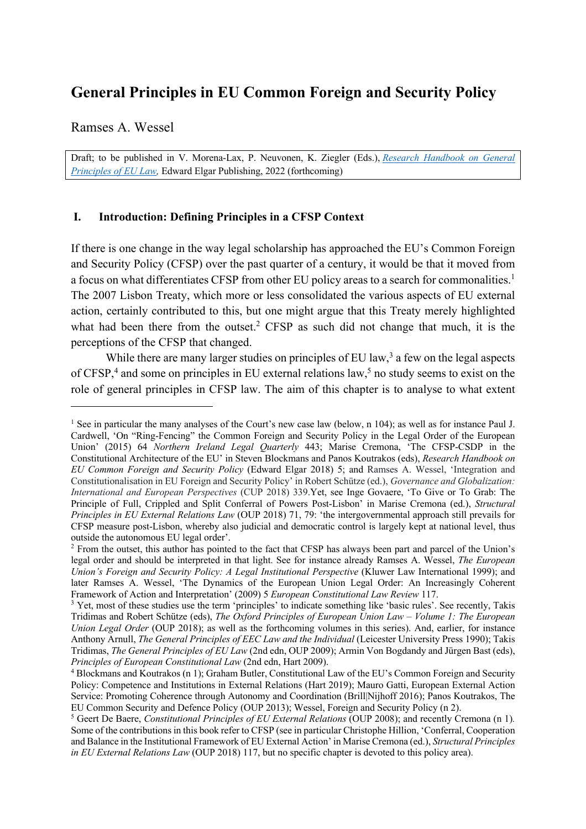# **General Principles in EU Common Foreign and Security Policy**

Ramses A. Wessel

Draft; to be published in V. Morena-Lax, P. Neuvonen, K. Ziegler (Eds.), *Research Handbook on General Principles of EU Law,* Edward Elgar Publishing, 2022 (forthcoming)

# **I. Introduction: Defining Principles in a CFSP Context**

If there is one change in the way legal scholarship has approached the EU's Common Foreign and Security Policy (CFSP) over the past quarter of a century, it would be that it moved from a focus on what differentiates CFSP from other EU policy areas to a search for commonalities.<sup>1</sup> The 2007 Lisbon Treaty, which more or less consolidated the various aspects of EU external action, certainly contributed to this, but one might argue that this Treaty merely highlighted what had been there from the outset.<sup>2</sup> CFSP as such did not change that much, it is the perceptions of the CFSP that changed.

While there are many larger studies on principles of EU law,<sup>3</sup> a few on the legal aspects of CFSP,<sup>4</sup> and some on principles in EU external relations law,<sup>5</sup> no study seems to exist on the role of general principles in CFSP law. The aim of this chapter is to analyse to what extent

<sup>&</sup>lt;sup>1</sup> See in particular the many analyses of the Court's new case law (below, n 104); as well as for instance Paul J. Cardwell, 'On "Ring-Fencing" the Common Foreign and Security Policy in the Legal Order of the European Union' (2015) 64 *Northern Ireland Legal Quarterly* 443; Marise Cremona, 'The CFSP-CSDP in the Constitutional Architecture of the EU' in Steven Blockmans and Panos Koutrakos (eds), *Research Handbook on EU Common Foreign and Security Policy* (Edward Elgar 2018) 5; and Ramses A. Wessel, 'Integration and Constitutionalisation in EU Foreign and Security Policy' in Robert Schütze (ed.), *Governance and Globalization: International and European Perspectives* (CUP 2018) 339.Yet, see Inge Govaere, 'To Give or To Grab: The Principle of Full, Crippled and Split Conferral of Powers Post-Lisbon' in Marise Cremona (ed.), *Structural Principles in EU External Relations Law* (OUP 2018) 71, 79: 'the intergovernmental approach still prevails for CFSP measure post-Lisbon, whereby also judicial and democratic control is largely kept at national level, thus outside the autonomous EU legal order'.

<sup>&</sup>lt;sup>2</sup> From the outset, this author has pointed to the fact that CFSP has always been part and parcel of the Union's legal order and should be interpreted in that light. See for instance already Ramses A. Wessel, *The European Union's Foreign and Security Policy: A Legal Institutional Perspective* (Kluwer Law International 1999); and later Ramses A. Wessel, 'The Dynamics of the European Union Legal Order: An Increasingly Coherent Framework of Action and Interpretation' (2009) 5 *European Constitutional Law Review* 117.<br><sup>3</sup> Yet, most of these studies use the term 'principles' to indicate something like 'basic rules'. See recently, Takis

Tridimas and Robert Schütze (eds), *The Oxford Principles of European Union Law – Volume 1: The European Union Legal Order* (OUP 2018); as well as the forthcoming volumes in this series). And, earlier, for instance Anthony Arnull, *The General Principles of EEC Law and the Individual* (Leicester University Press 1990); Takis Tridimas, *The General Principles of EU Law* (2nd edn, OUP 2009); Armin Von Bogdandy and Jürgen Bast (eds), *Principles of European Constitutional Law* (2nd edn, Hart 2009).

<sup>4</sup> Blockmans and Koutrakos (n 1); Graham Butler, Constitutional Law of the EU's Common Foreign and Security Policy: Competence and Institutions in External Relations (Hart 2019); Mauro Gatti, European External Action Service: Promoting Coherence through Autonomy and Coordination (Brill|Nijhoff 2016); Panos Koutrakos, The EU Common Security and Defence Policy (OUP 2013); Wessel, Foreign and Security Policy (n 2).

<sup>5</sup> Geert De Baere, *Constitutional Principles of EU External Relations* (OUP 2008); and recently Cremona (n 1)*.* Some of the contributions in this book refer to CFSP (see in particular Christophe Hillion, 'Conferral, Cooperation and Balance in the Institutional Framework of EU External Action' in Marise Cremona (ed.), *Structural Principles in EU External Relations Law* (OUP 2018) 117, but no specific chapter is devoted to this policy area).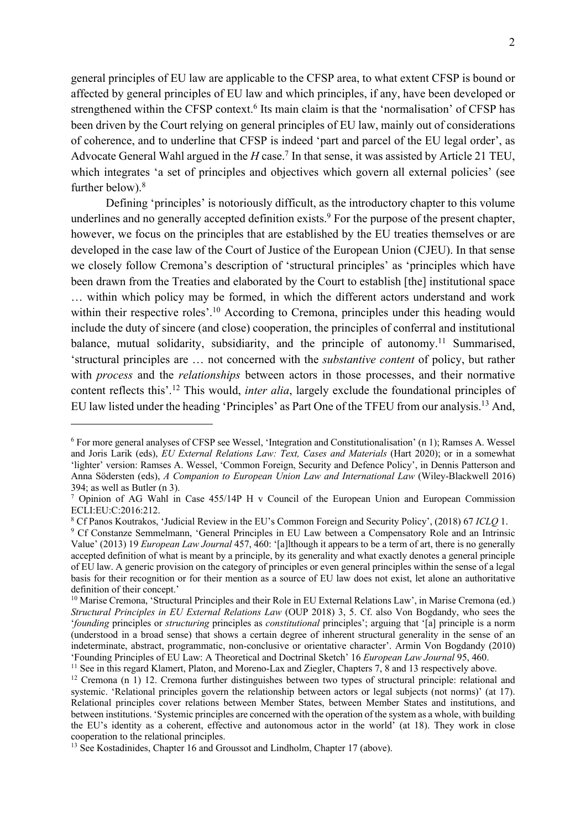general principles of EU law are applicable to the CFSP area, to what extent CFSP is bound or affected by general principles of EU law and which principles, if any, have been developed or strengthened within the CFSP context.<sup>6</sup> Its main claim is that the 'normalisation' of CFSP has been driven by the Court relying on general principles of EU law, mainly out of considerations of coherence, and to underline that CFSP is indeed 'part and parcel of the EU legal order', as Advocate General Wahl argued in the *H* case.<sup>7</sup> In that sense, it was assisted by Article 21 TEU, which integrates 'a set of principles and objectives which govern all external policies' (see further below).<sup>8</sup>

Defining 'principles' is notoriously difficult, as the introductory chapter to this volume underlines and no generally accepted definition exists.<sup>9</sup> For the purpose of the present chapter, however, we focus on the principles that are established by the EU treaties themselves or are developed in the case law of the Court of Justice of the European Union (CJEU). In that sense we closely follow Cremona's description of 'structural principles' as 'principles which have been drawn from the Treaties and elaborated by the Court to establish [the] institutional space … within which policy may be formed, in which the different actors understand and work within their respective roles'.<sup>10</sup> According to Cremona, principles under this heading would include the duty of sincere (and close) cooperation, the principles of conferral and institutional balance, mutual solidarity, subsidiarity, and the principle of autonomy.<sup>11</sup> Summarised, 'structural principles are … not concerned with the *substantive content* of policy, but rather with *process* and the *relationships* between actors in those processes, and their normative content reflects this'. <sup>12</sup> This would, *inter alia*, largely exclude the foundational principles of EU law listed under the heading 'Principles' as Part One of the TFEU from our analysis.<sup>13</sup> And,

<sup>6</sup> For more general analyses of CFSP see Wessel, 'Integration and Constitutionalisation' (n 1); Ramses A. Wessel and Joris Larik (eds), *EU External Relations Law: Text, Cases and Materials* (Hart 2020); or in a somewhat 'lighter' version: Ramses A. Wessel, 'Common Foreign, Security and Defence Policy', in Dennis Patterson and Anna Södersten (eds), *A Companion to European Union Law and International Law* (Wiley-Blackwell 2016) 394; as well as Butler (n 3).

<sup>7</sup> Opinion of AG Wahl in Case 455/14P H v Council of the European Union and European Commission ECLI:EU:C:2016:212.

<sup>8</sup> Cf Panos Koutrakos, 'Judicial Review in the EU's Common Foreign and Security Policy', (2018) 67 *ICLQ* 1.

<sup>&</sup>lt;sup>9</sup> Cf Constanze Semmelmann, 'General Principles in EU Law between a Compensatory Role and an Intrinsic Value' (2013) 19 *European Law Journal* 457, 460: '[a]lthough it appears to be a term of art, there is no generally accepted definition of what is meant by a principle, by its generality and what exactly denotes a general principle of EU law. A generic provision on the category of principles or even general principles within the sense of a legal basis for their recognition or for their mention as a source of EU law does not exist, let alone an authoritative definition of their concept.'

<sup>&</sup>lt;sup>10</sup> Marise Cremona, 'Structural Principles and their Role in EU External Relations Law', in Marise Cremona (ed.) *Structural Principles in EU External Relations Law* (OUP 2018) 3, 5. Cf. also Von Bogdandy, who sees the '*founding* principles or *structuring* principles as *constitutional* principles'; arguing that '[a] principle is a norm (understood in a broad sense) that shows a certain degree of inherent structural generality in the sense of an indeterminate, abstract, programmatic, non-conclusive or orientative character'. Armin Von Bogdandy (2010) 'Founding Principles of EU Law: A Theoretical and Doctrinal Sketch' 16 *European Law Journal* 95, 460.

<sup>&</sup>lt;sup>11</sup> See in this regard Klamert, Platon, and Moreno-Lax and Ziegler, Chapters 7, 8 and 13 respectively above.

<sup>12</sup> Cremona (n 1) 12. Cremona further distinguishes between two types of structural principle: relational and systemic. 'Relational principles govern the relationship between actors or legal subjects (not norms)' (at 17). Relational principles cover relations between Member States, between Member States and institutions, and between institutions. 'Systemic principles are concerned with the operation of the system as a whole, with building the EU's identity as a coherent, effective and autonomous actor in the world' (at 18). They work in close cooperation to the relational principles.

<sup>&</sup>lt;sup>13</sup> See Kostadinides, Chapter 16 and Groussot and Lindholm, Chapter 17 (above).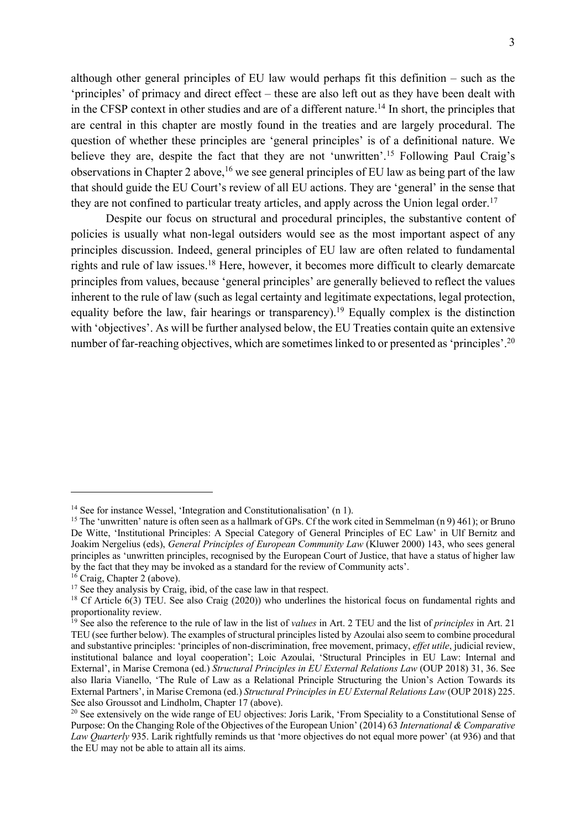although other general principles of EU law would perhaps fit this definition – such as the 'principles' of primacy and direct effect – these are also left out as they have been dealt with in the CFSP context in other studies and are of a different nature.<sup>14</sup> In short, the principles that are central in this chapter are mostly found in the treaties and are largely procedural. The question of whether these principles are 'general principles' is of a definitional nature. We believe they are, despite the fact that they are not 'unwritten'.<sup>15</sup> Following Paul Craig's observations in Chapter 2 above,  $16$  we see general principles of EU law as being part of the law that should guide the EU Court's review of all EU actions. They are 'general' in the sense that they are not confined to particular treaty articles, and apply across the Union legal order.<sup>17</sup>

Despite our focus on structural and procedural principles, the substantive content of policies is usually what non-legal outsiders would see as the most important aspect of any principles discussion. Indeed, general principles of EU law are often related to fundamental rights and rule of law issues.18 Here, however, it becomes more difficult to clearly demarcate principles from values, because 'general principles' are generally believed to reflect the values inherent to the rule of law (such as legal certainty and legitimate expectations, legal protection, equality before the law, fair hearings or transparency).<sup>19</sup> Equally complex is the distinction with 'objectives'. As will be further analysed below, the EU Treaties contain quite an extensive number of far-reaching objectives, which are sometimes linked to or presented as 'principles'.<sup>20</sup>

<sup>&</sup>lt;sup>14</sup> See for instance Wessel, 'Integration and Constitutionalisation' (n 1).

<sup>&</sup>lt;sup>15</sup> The 'unwritten' nature is often seen as a hallmark of GPs. Cf the work cited in Semmelman (n 9) 461); or Bruno De Witte, 'Institutional Principles: A Special Category of General Principles of EC Law' in Ulf Bernitz and Joakim Nergelius (eds), *General Principles of European Community Law* (Kluwer 2000) 143, who sees general principles as 'unwritten principles, recognised by the European Court of Justice, that have a status of higher law by the fact that they may be invoked as a standard for the review of Community acts'.

 $16$  Craig, Chapter 2 (above).

<sup>&</sup>lt;sup>17</sup> See they analysis by Craig, ibid, of the case law in that respect.

<sup>&</sup>lt;sup>18</sup> Cf Article 6(3) TEU. See also Craig (2020)) who underlines the historical focus on fundamental rights and proportionality review.

<sup>19</sup> See also the reference to the rule of law in the list of *values* in Art. 2 TEU and the list of *principles* in Art. 21 TEU (see further below). The examples of structural principles listed by Azoulai also seem to combine procedural and substantive principles: 'principles of non-discrimination, free movement, primacy, *effet utile*, judicial review, institutional balance and loyal cooperation'; Loic Azoulai, 'Structural Principles in EU Law: Internal and External', in Marise Cremona (ed.) *Structural Principles in EU External Relations Law* (OUP 2018) 31, 36. See also Ilaria Vianello, 'The Rule of Law as a Relational Principle Structuring the Union's Action Towards its External Partners', in Marise Cremona (ed.) *Structural Principles in EU External Relations Law* (OUP 2018) 225. See also Groussot and Lindholm, Chapter 17 (above).

<sup>&</sup>lt;sup>20</sup> See extensively on the wide range of EU objectives: Joris Larik, 'From Speciality to a Constitutional Sense of Purpose: On the Changing Role of the Objectives of the European Union' (2014) 63 *International & Comparative Law Quarterly* 935. Larik rightfully reminds us that 'more objectives do not equal more power' (at 936) and that the EU may not be able to attain all its aims.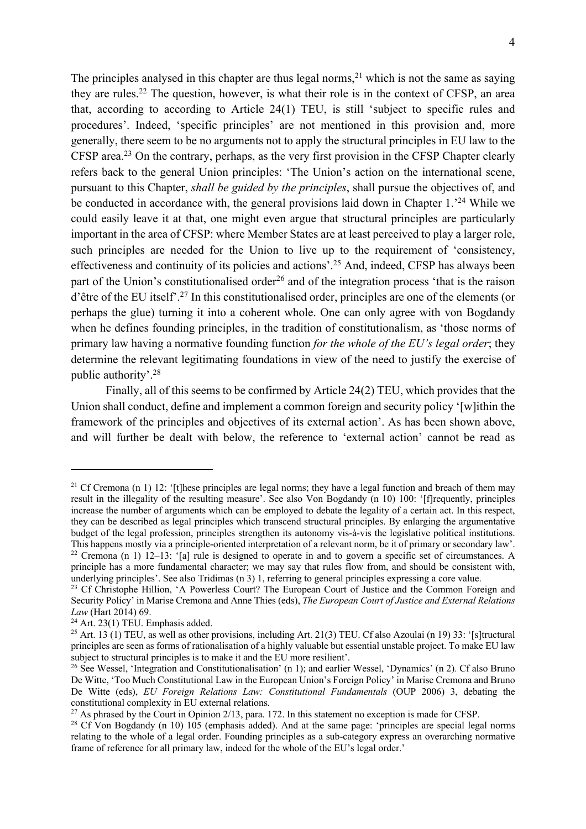The principles analysed in this chapter are thus legal norms,<sup>21</sup> which is not the same as saying they are rules.22 The question, however, is what their role is in the context of CFSP, an area that, according to according to Article 24(1) TEU, is still 'subject to specific rules and procedures'. Indeed, 'specific principles' are not mentioned in this provision and, more generally, there seem to be no arguments not to apply the structural principles in EU law to the CFSP area.<sup>23</sup> On the contrary, perhaps, as the very first provision in the CFSP Chapter clearly refers back to the general Union principles: 'The Union's action on the international scene, pursuant to this Chapter, *shall be guided by the principles*, shall pursue the objectives of, and be conducted in accordance with, the general provisions laid down in Chapter 1.<sup>24</sup> While we could easily leave it at that, one might even argue that structural principles are particularly important in the area of CFSP: where Member States are at least perceived to play a larger role, such principles are needed for the Union to live up to the requirement of 'consistency, effectiveness and continuity of its policies and actions'.<sup>25</sup> And, indeed, CFSP has always been part of the Union's constitutionalised order<sup>26</sup> and of the integration process 'that is the raison d'être of the EU itself'. <sup>27</sup> In this constitutionalised order, principles are one of the elements (or perhaps the glue) turning it into a coherent whole. One can only agree with von Bogdandy when he defines founding principles, in the tradition of constitutionalism, as 'those norms of primary law having a normative founding function *for the whole of the EU's legal order*; they determine the relevant legitimating foundations in view of the need to justify the exercise of public authority'. 28

Finally, all of this seems to be confirmed by Article 24(2) TEU, which provides that the Union shall conduct, define and implement a common foreign and security policy '[w]ithin the framework of the principles and objectives of its external action'. As has been shown above, and will further be dealt with below, the reference to 'external action' cannot be read as

<sup>&</sup>lt;sup>21</sup> Cf Cremona (n 1) 12: '[t]hese principles are legal norms; they have a legal function and breach of them may result in the illegality of the resulting measure'. See also Von Bogdandy (n 10) 100: '[f]requently, principles increase the number of arguments which can be employed to debate the legality of a certain act. In this respect, they can be described as legal principles which transcend structural principles. By enlarging the argumentative budget of the legal profession, principles strengthen its autonomy vis-à-vis the legislative political institutions. This happens mostly via a principle-oriented interpretation of a relevant norm, be it of primary or secondary law'. <sup>22</sup> Cremona (n 1)  $12-13$ : '[a] rule is designed to operate in and to govern a specific set of circumstances. A

principle has a more fundamental character; we may say that rules flow from, and should be consistent with, underlying principles'. See also Tridimas (n 3) 1, referring to general principles expressing a core value.

<sup>&</sup>lt;sup>23</sup> Cf Christophe Hillion, 'A Powerless Court? The European Court of Justice and the Common Foreign and Security Policy' in Marise Cremona and Anne Thies (eds), *The European Court of Justice and External Relations Law* (Hart 2014) 69.

 $24$  Art. 23(1) TEU. Emphasis added.

<sup>&</sup>lt;sup>25</sup> Art. 13 (1) TEU, as well as other provisions, including Art. 21(3) TEU. Cf also Azoulai (n 19) 33: '[s]tructural principles are seen as forms of rationalisation of a highly valuable but essential unstable project. To make EU law subject to structural principles is to make it and the EU more resilient'.

<sup>26</sup> See Wessel, 'Integration and Constitutionalisation' (n 1); and earlier Wessel, 'Dynamics' (n 2)*.* Cf also Bruno De Witte, 'Too Much Constitutional Law in the European Union's Foreign Policy' in Marise Cremona and Bruno De Witte (eds), *EU Foreign Relations Law: Constitutional Fundamentals* (OUP 2006) 3, debating the constitutional complexity in EU external relations.

<sup>&</sup>lt;sup>27</sup> As phrased by the Court in Opinion  $2/13$ , para. 172. In this statement no exception is made for CFSP.

<sup>&</sup>lt;sup>28</sup> Cf Von Bogdandy (n 10) 105 (emphasis added). And at the same page: 'principles are special legal norms relating to the whole of a legal order. Founding principles as a sub-category express an overarching normative frame of reference for all primary law, indeed for the whole of the EU's legal order.'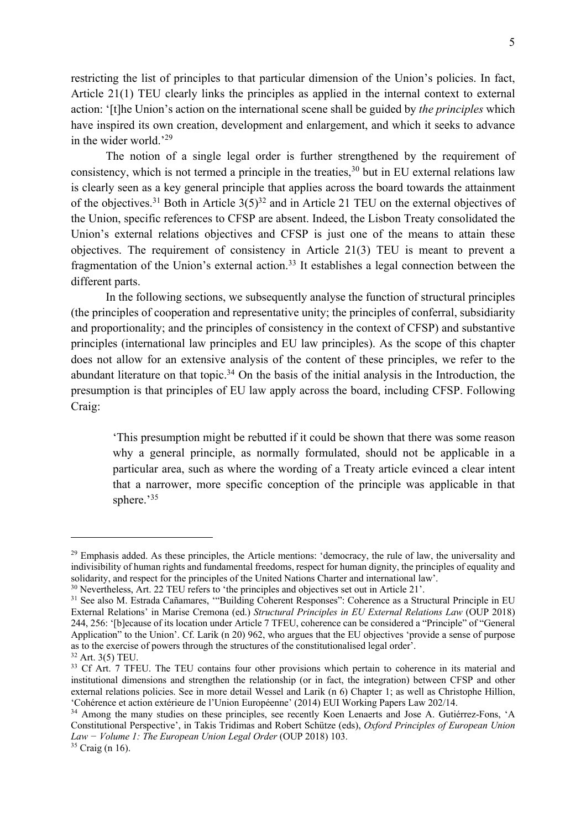restricting the list of principles to that particular dimension of the Union's policies. In fact, Article 21(1) TEU clearly links the principles as applied in the internal context to external action: '[t]he Union's action on the international scene shall be guided by *the principles* which have inspired its own creation, development and enlargement, and which it seeks to advance in the wider world.'29

The notion of a single legal order is further strengthened by the requirement of consistency, which is not termed a principle in the treaties,  $30$  but in EU external relations law is clearly seen as a key general principle that applies across the board towards the attainment of the objectives.<sup>31</sup> Both in Article  $3(5)^{32}$  and in Article 21 TEU on the external objectives of the Union, specific references to CFSP are absent. Indeed, the Lisbon Treaty consolidated the Union's external relations objectives and CFSP is just one of the means to attain these objectives. The requirement of consistency in Article 21(3) TEU is meant to prevent a fragmentation of the Union's external action.<sup>33</sup> It establishes a legal connection between the different parts.

In the following sections, we subsequently analyse the function of structural principles (the principles of cooperation and representative unity; the principles of conferral, subsidiarity and proportionality; and the principles of consistency in the context of CFSP) and substantive principles (international law principles and EU law principles). As the scope of this chapter does not allow for an extensive analysis of the content of these principles, we refer to the abundant literature on that topic.<sup>34</sup> On the basis of the initial analysis in the Introduction, the presumption is that principles of EU law apply across the board, including CFSP. Following Craig:

'This presumption might be rebutted if it could be shown that there was some reason why a general principle, as normally formulated, should not be applicable in a particular area, such as where the wording of a Treaty article evinced a clear intent that a narrower, more specific conception of the principle was applicable in that sphere.'<sup>35</sup>

<sup>&</sup>lt;sup>29</sup> Emphasis added. As these principles, the Article mentions: 'democracy, the rule of law, the universality and indivisibility of human rights and fundamental freedoms, respect for human dignity, the principles of equality and solidarity, and respect for the principles of the United Nations Charter and international law'.

<sup>&</sup>lt;sup>30</sup> Nevertheless, Art. 22 TEU refers to 'the principles and objectives set out in Article 21'.

<sup>&</sup>lt;sup>31</sup> See also M. Estrada Cañamares, "Building Coherent Responses": Coherence as a Structural Principle in EU External Relations' in Marise Cremona (ed.) *Structural Principles in EU External Relations Law* (OUP 2018) 244, 256: '[b]ecause of its location under Article 7 TFEU, coherence can be considered a "Principle" of "General Application" to the Union'. Cf. Larik (n 20) 962, who argues that the EU objectives 'provide a sense of purpose as to the exercise of powers through the structures of the constitutionalised legal order'.

<sup>32</sup> Art. 3(5) TEU.

<sup>&</sup>lt;sup>33</sup> Cf Art. 7 TFEU. The TEU contains four other provisions which pertain to coherence in its material and institutional dimensions and strengthen the relationship (or in fact, the integration) between CFSP and other external relations policies. See in more detail Wessel and Larik (n 6) Chapter 1; as well as Christophe Hillion, 'Cohérence et action extérieure de l'Union Européenne' (2014) EUI Working Papers Law 202/14.

<sup>&</sup>lt;sup>34</sup> Among the many studies on these principles, see recently Koen Lenaerts and Jose A. Gutiérrez-Fons, 'A Constitutional Perspective', in Takis Tridimas and Robert Schütze (eds), *Oxford Principles of European Union Law − Volume 1: The European Union Legal Order* (OUP 2018) 103.

<sup>35</sup> Craig (n 16).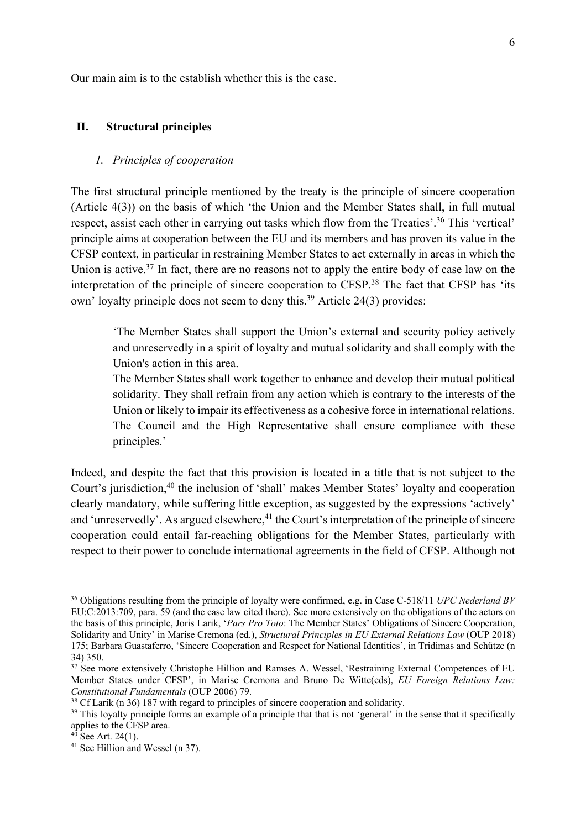Our main aim is to the establish whether this is the case.

# **II. Structural principles**

### *1. Principles of cooperation*

The first structural principle mentioned by the treaty is the principle of sincere cooperation (Article 4(3)) on the basis of which 'the Union and the Member States shall, in full mutual respect, assist each other in carrying out tasks which flow from the Treaties'.<sup>36</sup> This 'vertical' principle aims at cooperation between the EU and its members and has proven its value in the CFSP context, in particular in restraining Member States to act externally in areas in which the Union is active.<sup>37</sup> In fact, there are no reasons not to apply the entire body of case law on the interpretation of the principle of sincere cooperation to CFSP.38 The fact that CFSP has 'its own' loyalty principle does not seem to deny this.<sup>39</sup> Article 24(3) provides:

'The Member States shall support the Union's external and security policy actively and unreservedly in a spirit of loyalty and mutual solidarity and shall comply with the Union's action in this area.

The Member States shall work together to enhance and develop their mutual political solidarity. They shall refrain from any action which is contrary to the interests of the Union or likely to impair its effectiveness as a cohesive force in international relations. The Council and the High Representative shall ensure compliance with these principles.'

Indeed, and despite the fact that this provision is located in a title that is not subject to the Court's jurisdiction,<sup>40</sup> the inclusion of 'shall' makes Member States' loyalty and cooperation clearly mandatory, while suffering little exception, as suggested by the expressions 'actively' and 'unreservedly'. As argued elsewhere,<sup>41</sup> the Court's interpretation of the principle of sincere cooperation could entail far-reaching obligations for the Member States, particularly with respect to their power to conclude international agreements in the field of CFSP. Although not

<sup>36</sup> Obligations resulting from the principle of loyalty were confirmed, e.g. in Case C-518/11 *UPC Nederland BV* EU:C:2013:709, para. 59 (and the case law cited there). See more extensively on the obligations of the actors on the basis of this principle, Joris Larik, '*Pars Pro Toto*: The Member States' Obligations of Sincere Cooperation, Solidarity and Unity' in Marise Cremona (ed.), *Structural Principles in EU External Relations Law* (OUP 2018) 175; Barbara Guastaferro, 'Sincere Cooperation and Respect for National Identities', in Tridimas and Schütze (n 34) 350.

<sup>&</sup>lt;sup>37</sup> See more extensively Christophe Hillion and Ramses A. Wessel, 'Restraining External Competences of EU Member States under CFSP', in Marise Cremona and Bruno De Witte(eds), *EU Foreign Relations Law: Constitutional Fundamentals* (OUP 2006) 79.

<sup>&</sup>lt;sup>38</sup> Cf Larik (n 36) 187 with regard to principles of sincere cooperation and solidarity.

<sup>&</sup>lt;sup>39</sup> This loyalty principle forms an example of a principle that that is not 'general' in the sense that it specifically applies to the CFSP area.

 $40$  See Art. 24(1).

<sup>41</sup> See Hillion and Wessel (n 37).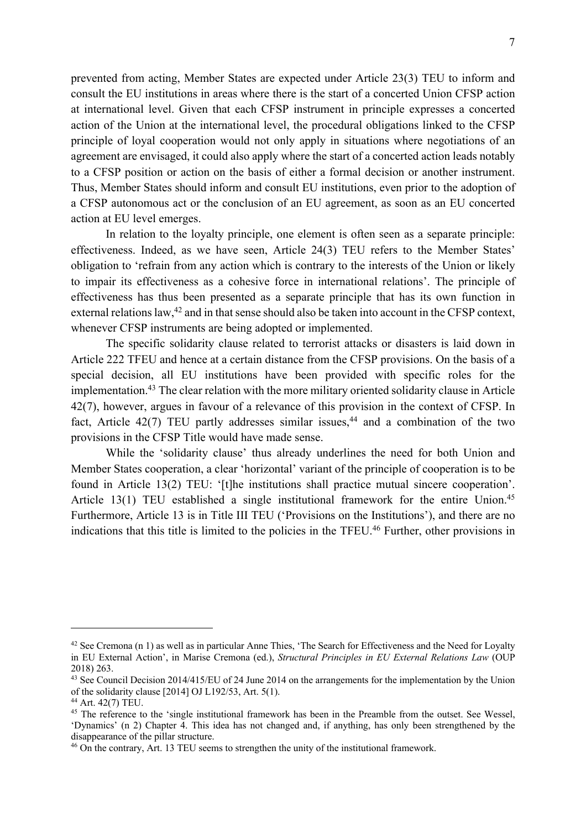prevented from acting, Member States are expected under Article 23(3) TEU to inform and consult the EU institutions in areas where there is the start of a concerted Union CFSP action at international level. Given that each CFSP instrument in principle expresses a concerted action of the Union at the international level, the procedural obligations linked to the CFSP principle of loyal cooperation would not only apply in situations where negotiations of an agreement are envisaged, it could also apply where the start of a concerted action leads notably to a CFSP position or action on the basis of either a formal decision or another instrument. Thus, Member States should inform and consult EU institutions, even prior to the adoption of a CFSP autonomous act or the conclusion of an EU agreement, as soon as an EU concerted action at EU level emerges.

In relation to the loyalty principle, one element is often seen as a separate principle: effectiveness. Indeed, as we have seen, Article 24(3) TEU refers to the Member States' obligation to 'refrain from any action which is contrary to the interests of the Union or likely to impair its effectiveness as a cohesive force in international relations'. The principle of effectiveness has thus been presented as a separate principle that has its own function in external relations law,<sup>42</sup> and in that sense should also be taken into account in the CFSP context, whenever CFSP instruments are being adopted or implemented.

The specific solidarity clause related to terrorist attacks or disasters is laid down in Article 222 TFEU and hence at a certain distance from the CFSP provisions. On the basis of a special decision, all EU institutions have been provided with specific roles for the implementation.43 The clear relation with the more military oriented solidarity clause in Article 42(7), however, argues in favour of a relevance of this provision in the context of CFSP. In fact, Article  $42(7)$  TEU partly addresses similar issues,<sup>44</sup> and a combination of the two provisions in the CFSP Title would have made sense.

While the 'solidarity clause' thus already underlines the need for both Union and Member States cooperation, a clear 'horizontal' variant of the principle of cooperation is to be found in Article 13(2) TEU: '[t]he institutions shall practice mutual sincere cooperation'. Article 13(1) TEU established a single institutional framework for the entire Union.<sup>45</sup> Furthermore, Article 13 is in Title III TEU ('Provisions on the Institutions'), and there are no indications that this title is limited to the policies in the TFEU.<sup>46</sup> Further, other provisions in

 $42$  See Cremona (n 1) as well as in particular Anne Thies, 'The Search for Effectiveness and the Need for Loyalty in EU External Action', in Marise Cremona (ed.), *Structural Principles in EU External Relations Law* (OUP 2018) 263.

<sup>&</sup>lt;sup>43</sup> See Council Decision 2014/415/EU of 24 June 2014 on the arrangements for the implementation by the Union of the solidarity clause [2014] OJ L192/53, Art. 5(1).

<sup>44</sup> Art. 42(7) TEU.

<sup>&</sup>lt;sup>45</sup> The reference to the 'single institutional framework has been in the Preamble from the outset. See Wessel, 'Dynamics' (n 2) Chapter 4. This idea has not changed and, if anything, has only been strengthened by the disappearance of the pillar structure.

<sup>46</sup> On the contrary, Art. 13 TEU seems to strengthen the unity of the institutional framework.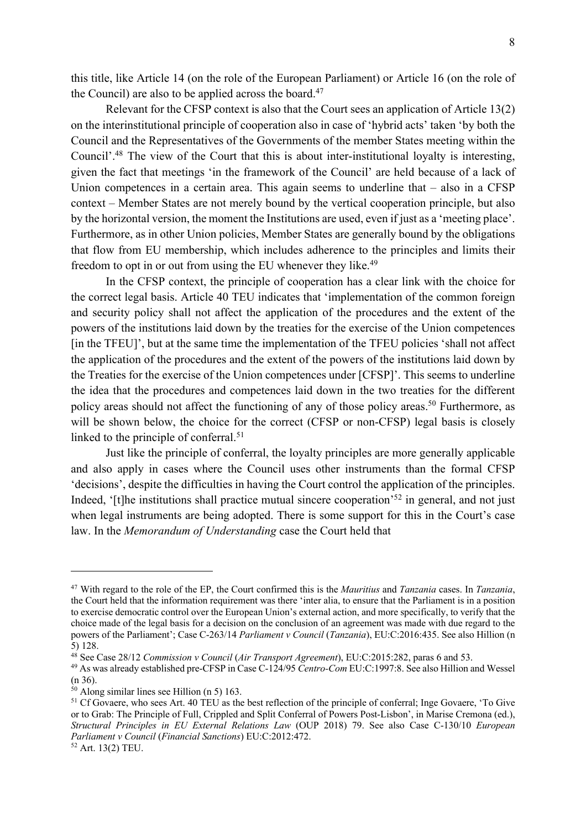this title, like Article 14 (on the role of the European Parliament) or Article 16 (on the role of the Council) are also to be applied across the board. $47$ 

Relevant for the CFSP context is also that the Court sees an application of Article 13(2) on the interinstitutional principle of cooperation also in case of 'hybrid acts' taken 'by both the Council and the Representatives of the Governments of the member States meeting within the Council'.<sup>48</sup> The view of the Court that this is about inter-institutional loyalty is interesting, given the fact that meetings 'in the framework of the Council' are held because of a lack of Union competences in a certain area. This again seems to underline that  $-$  also in a CFSP context – Member States are not merely bound by the vertical cooperation principle, but also by the horizontal version, the moment the Institutions are used, even if just as a 'meeting place'. Furthermore, as in other Union policies, Member States are generally bound by the obligations that flow from EU membership, which includes adherence to the principles and limits their freedom to opt in or out from using the EU whenever they like.<sup>49</sup>

In the CFSP context, the principle of cooperation has a clear link with the choice for the correct legal basis. Article 40 TEU indicates that 'implementation of the common foreign and security policy shall not affect the application of the procedures and the extent of the powers of the institutions laid down by the treaties for the exercise of the Union competences [in the TFEU]', but at the same time the implementation of the TFEU policies 'shall not affect the application of the procedures and the extent of the powers of the institutions laid down by the Treaties for the exercise of the Union competences under [CFSP]'. This seems to underline the idea that the procedures and competences laid down in the two treaties for the different policy areas should not affect the functioning of any of those policy areas.<sup>50</sup> Furthermore, as will be shown below, the choice for the correct (CFSP or non-CFSP) legal basis is closely linked to the principle of conferral.<sup>51</sup>

Just like the principle of conferral, the loyalty principles are more generally applicable and also apply in cases where the Council uses other instruments than the formal CFSP 'decisions', despite the difficulties in having the Court control the application of the principles. Indeed, '[t]he institutions shall practice mutual sincere cooperation'<sup>52</sup> in general, and not just when legal instruments are being adopted. There is some support for this in the Court's case law. In the *Memorandum of Understanding* case the Court held that

<sup>47</sup> With regard to the role of the EP, the Court confirmed this is the *Mauritius* and *Tanzania* cases. In *Tanzania*, the Court held that the information requirement was there 'inter alia, to ensure that the Parliament is in a position to exercise democratic control over the European Union's external action, and more specifically, to verify that the choice made of the legal basis for a decision on the conclusion of an agreement was made with due regard to the powers of the Parliament'; Case C-263/14 *Parliament v Council* (*Tanzania*), EU:C:2016:435. See also Hillion (n 5) 128.

<sup>48</sup> See Case 28/12 *Commission v Council* (*Air Transport Agreement*), EU:C:2015:282, paras 6 and 53.

<sup>49</sup> As was already established pre-CFSP in Case C-124/95 *Centro-Com* EU:C:1997:8. See also Hillion and Wessel (n 36).

<sup>50</sup> Along similar lines see Hillion (n 5) 163.

<sup>&</sup>lt;sup>51</sup> Cf Govaere, who sees Art. 40 TEU as the best reflection of the principle of conferral; Inge Govaere, 'To Give or to Grab: The Principle of Full, Crippled and Split Conferral of Powers Post-Lisbon', in Marise Cremona (ed.), *Structural Principles in EU External Relations Law* (OUP 2018) 79. See also Case C-130/10 *European Parliament v Council* (*Financial Sanctions*) EU:C:2012:472.

<sup>52</sup> Art. 13(2) TEU.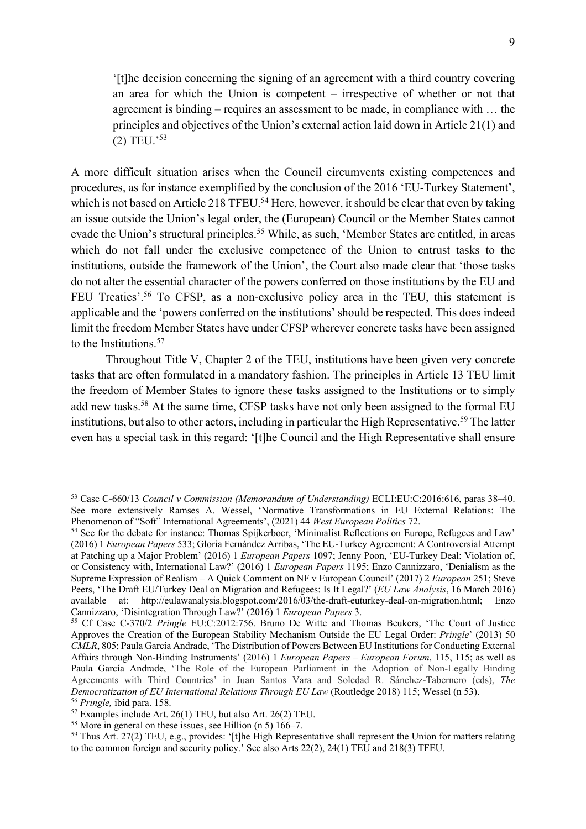'[t]he decision concerning the signing of an agreement with a third country covering an area for which the Union is competent – irrespective of whether or not that agreement is binding – requires an assessment to be made, in compliance with … the principles and objectives of the Union's external action laid down in Article 21(1) and (2) TEU.' 53

A more difficult situation arises when the Council circumvents existing competences and procedures, as for instance exemplified by the conclusion of the 2016 'EU-Turkey Statement', which is not based on Article 218 TFEU.<sup>54</sup> Here, however, it should be clear that even by taking an issue outside the Union's legal order, the (European) Council or the Member States cannot evade the Union's structural principles.<sup>55</sup> While, as such, 'Member States are entitled, in areas which do not fall under the exclusive competence of the Union to entrust tasks to the institutions, outside the framework of the Union', the Court also made clear that 'those tasks do not alter the essential character of the powers conferred on those institutions by the EU and FEU Treaties'.<sup>56</sup> To CFSP, as a non-exclusive policy area in the TEU, this statement is applicable and the 'powers conferred on the institutions' should be respected. This does indeed limit the freedom Member States have under CFSP wherever concrete tasks have been assigned to the Institutions.<sup>57</sup>

Throughout Title V, Chapter 2 of the TEU, institutions have been given very concrete tasks that are often formulated in a mandatory fashion. The principles in Article 13 TEU limit the freedom of Member States to ignore these tasks assigned to the Institutions or to simply add new tasks.<sup>58</sup> At the same time, CFSP tasks have not only been assigned to the formal EU institutions, but also to other actors, including in particular the High Representative.<sup>59</sup> The latter even has a special task in this regard: '[t]he Council and the High Representative shall ensure

<sup>53</sup> Case C-660/13 *Council v Commission (Memorandum of Understanding)* ECLI:EU:C:2016:616, paras 38–40. See more extensively Ramses A. Wessel, 'Normative Transformations in EU External Relations: The Phenomenon of "Soft" International Agreements', (2021) 44 *West European Politics* 72.

<sup>&</sup>lt;sup>54</sup> See for the debate for instance: Thomas Spijkerboer, 'Minimalist Reflections on Europe, Refugees and Law' (2016) 1 *European Papers* 533; Gloria Fernández Arribas, 'The EU-Turkey Agreement: A Controversial Attempt at Patching up a Major Problem' (2016) 1 *European Papers* 1097; Jenny Poon, 'EU-Turkey Deal: Violation of, or Consistency with, International Law?' (2016) 1 *European Papers* 1195; Enzo Cannizzaro, 'Denialism as the Supreme Expression of Realism – A Quick Comment on NF v European Council' (2017) 2 *European* 251; Steve Peers, 'The Draft EU/Turkey Deal on Migration and Refugees: Is It Legal?' (*EU Law Analysis*, 16 March 2016) available at: http://eulawanalysis.blogspot.com/2016/03/the-draft-euturkey-deal-on-migration.html; Enzo Cannizzaro, 'Disintegration Through Law?' (2016) 1 *European Papers* 3.

<sup>55</sup> Cf Case C-370/2 *Pringle* EU:C:2012:756. Bruno De Witte and Thomas Beukers, 'The Court of Justice Approves the Creation of the European Stability Mechanism Outside the EU Legal Order: *Pringle*' (2013) 50 *CMLR*, 805; Paula García Andrade, 'The Distribution of Powers Between EU Institutions for Conducting External Affairs through Non-Binding Instruments' (2016) 1 *European Papers* – *European Forum*, 115, 115; as well as Paula García Andrade, 'The Role of the European Parliament in the Adoption of Non-Legally Binding Agreements with Third Countries' in Juan Santos Vara and Soledad R. Sánchez-Tabernero (eds), *The Democratization of EU International Relations Through EU Law* (Routledge 2018) 115; Wessel (n 53). <sup>56</sup> *Pringle,* ibid para. 158.

<sup>57</sup> Examples include Art. 26(1) TEU, but also Art. 26(2) TEU.

<sup>58</sup> More in general on these issues, see Hillion (n 5) 166–7.

<sup>&</sup>lt;sup>59</sup> Thus Art. 27(2) TEU, e.g., provides: '[t]he High Representative shall represent the Union for matters relating to the common foreign and security policy.' See also Arts 22(2), 24(1) TEU and 218(3) TFEU.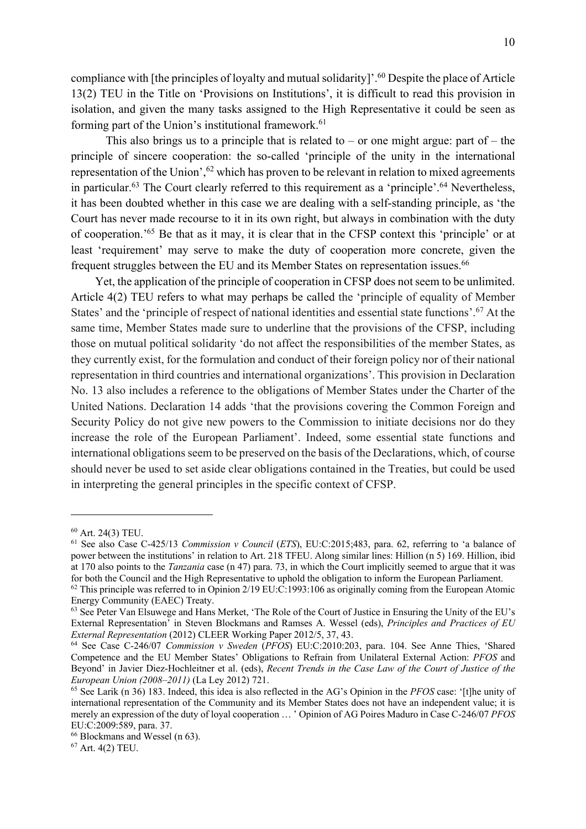compliance with [the principles of loyalty and mutual solidarity]'. <sup>60</sup> Despite the place of Article 13(2) TEU in the Title on 'Provisions on Institutions', it is difficult to read this provision in isolation, and given the many tasks assigned to the High Representative it could be seen as forming part of the Union's institutional framework.<sup>61</sup>

This also brings us to a principle that is related to – or one might argue: part of – the principle of sincere cooperation: the so-called 'principle of the unity in the international representation of the Union',<sup>62</sup> which has proven to be relevant in relation to mixed agreements in particular.<sup>63</sup> The Court clearly referred to this requirement as a 'principle'.<sup>64</sup> Nevertheless, it has been doubted whether in this case we are dealing with a self-standing principle, as 'the Court has never made recourse to it in its own right, but always in combination with the duty of cooperation.' <sup>65</sup> Be that as it may, it is clear that in the CFSP context this 'principle' or at least 'requirement' may serve to make the duty of cooperation more concrete, given the frequent struggles between the EU and its Member States on representation issues.<sup>66</sup>

Yet, the application of the principle of cooperation in CFSP does not seem to be unlimited. Article 4(2) TEU refers to what may perhaps be called the 'principle of equality of Member States' and the 'principle of respect of national identities and essential state functions'. <sup>67</sup> At the same time, Member States made sure to underline that the provisions of the CFSP, including those on mutual political solidarity 'do not affect the responsibilities of the member States, as they currently exist, for the formulation and conduct of their foreign policy nor of their national representation in third countries and international organizations'. This provision in Declaration No. 13 also includes a reference to the obligations of Member States under the Charter of the United Nations. Declaration 14 adds 'that the provisions covering the Common Foreign and Security Policy do not give new powers to the Commission to initiate decisions nor do they increase the role of the European Parliament'. Indeed, some essential state functions and international obligations seem to be preserved on the basis of the Declarations, which, of course should never be used to set aside clear obligations contained in the Treaties, but could be used in interpreting the general principles in the specific context of CFSP.

<sup>60</sup> Art. 24(3) TEU.

<sup>61</sup> See also Case C-425/13 *Commission v Council* (*ETS*), EU:C:2015;483, para. 62, referring to 'a balance of power between the institutions' in relation to Art. 218 TFEU. Along similar lines: Hillion (n 5) 169. Hillion, ibid at 170 also points to the *Tanzania* case (n 47) para. 73, in which the Court implicitly seemed to argue that it was for both the Council and the High Representative to uphold the obligation to inform the European Parliament.

 $62$  This principle was referred to in Opinion 2/19 EU:C:1993:106 as originally coming from the European Atomic Energy Community (EAEC) Treaty.

<sup>&</sup>lt;sup>63</sup> See Peter Van Elsuwege and Hans Merket, 'The Role of the Court of Justice in Ensuring the Unity of the EU's External Representation' in Steven Blockmans and Ramses A. Wessel (eds), *Principles and Practices of EU External Representation* (2012) CLEER Working Paper 2012/5, 37, 43.

<sup>64</sup> See Case C-246/07 *Commission v Sweden* (*PFOS*) EU:C:2010:203, para. 104. See Anne Thies, 'Shared Competence and the EU Member States' Obligations to Refrain from Unilateral External Action: *PFOS* and Beyond' in Javier Diez-Hochleitner et al. (eds), *Recent Trends in the Case Law of the Court of Justice of the European Union (2008–2011)* (La Ley 2012) 721.

<sup>65</sup> See Larik (n 36) 183. Indeed, this idea is also reflected in the AG's Opinion in the *PFOS* case: '[t]he unity of international representation of the Community and its Member States does not have an independent value; it is merely an expression of the duty of loyal cooperation … ' Opinion of AG Poires Maduro in Case C-246/07 *PFOS* EU:C:2009:589, para. 37.

<sup>66</sup> Blockmans and Wessel (n 63).

<sup>67</sup> Art. 4(2) TEU.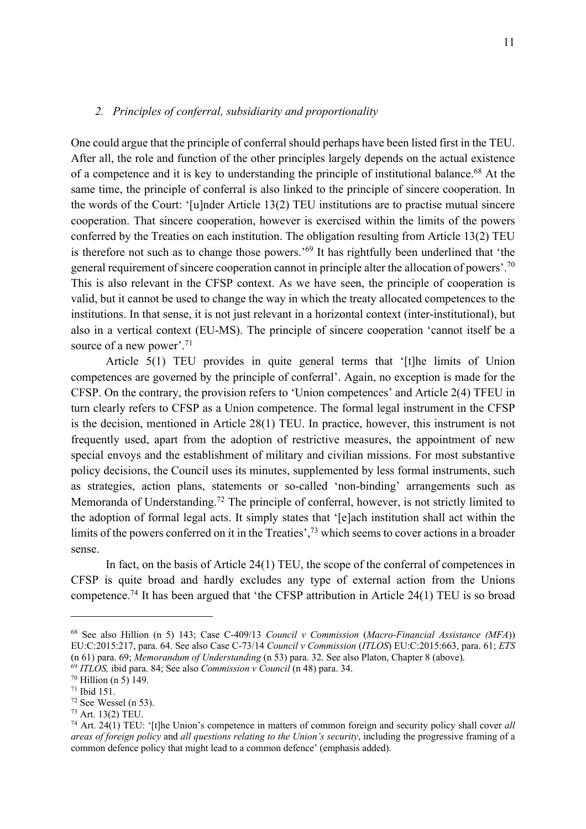# *2. Principles of conferral, subsidiarity and proportionality*

One could argue that the principle of conferral should perhaps have been listed first in the TEU. After all, the role and function of the other principles largely depends on the actual existence of a competence and it is key to understanding the principle of institutional balance.68 At the same time, the principle of conferral is also linked to the principle of sincere cooperation. In the words of the Court: '[u]nder Article 13(2) TEU institutions are to practise mutual sincere cooperation. That sincere cooperation, however is exercised within the limits of the powers conferred by the Treaties on each institution. The obligation resulting from Article 13(2) TEU is therefore not such as to change those powers.' <sup>69</sup> It has rightfully been underlined that 'the general requirement of sincere cooperation cannot in principle alter the allocation of powers'.<sup>70</sup> This is also relevant in the CFSP context. As we have seen, the principle of cooperation is valid, but it cannot be used to change the way in which the treaty allocated competences to the institutions. In that sense, it is not just relevant in a horizontal context (inter-institutional), but also in a vertical context (EU-MS). The principle of sincere cooperation 'cannot itself be a source of a new power'.<sup>71</sup>

Article 5(1) TEU provides in quite general terms that '[t]he limits of Union competences are governed by the principle of conferral'. Again, no exception is made for the CFSP. On the contrary, the provision refers to 'Union competences' and Article 2(4) TFEU in turn clearly refers to CFSP as a Union competence. The formal legal instrument in the CFSP is the decision, mentioned in Article 28(1) TEU. In practice, however, this instrument is not frequently used, apart from the adoption of restrictive measures, the appointment of new special envoys and the establishment of military and civilian missions. For most substantive policy decisions, the Council uses its minutes, supplemented by less formal instruments, such as strategies, action plans, statements or so-called 'non-binding' arrangements such as Memoranda of Understanding.<sup>72</sup> The principle of conferral, however, is not strictly limited to the adoption of formal legal acts. It simply states that '[e]ach institution shall act within the limits of the powers conferred on it in the Treaties',<sup>73</sup> which seems to cover actions in a broader sense.

In fact, on the basis of Article 24(1) TEU, the scope of the conferral of competences in CFSP is quite broad and hardly excludes any type of external action from the Unions competence.<sup>74</sup> It has been argued that 'the CFSP attribution in Article 24(1) TEU is so broad

<sup>68</sup> See also Hillion (n 5) 143; Case C-409/13 *Council v Commission* (*Macro-Financial Assistance (MFA*)) EU:C:2015:217, para. 64. See also Case C-73/14 *Council v Commission* (*ITLOS*) EU:C:2015:663, para. 61; *ETS* (n 61) para. 69; *Memorandum of Understanding* (n 53) para. 32. See also Platon, Chapter 8 (above).

<sup>69</sup> *ITLOS,* ibid para. 84; See also *Commission v Council* (n 48) para. 34.

<sup>70</sup> Hillion (n 5) 149.

<sup>71</sup> Ibid 151.

 $72$  See Wessel (n 53).<br> $73$  Art. 13(2) TEU.

<sup>74</sup> Art. 24(1) TEU: '[t]he Union's competence in matters of common foreign and security policy shall cover *all areas of foreign policy* and *all questions relating to the Union's security*, including the progressive framing of a common defence policy that might lead to a common defence' (emphasis added).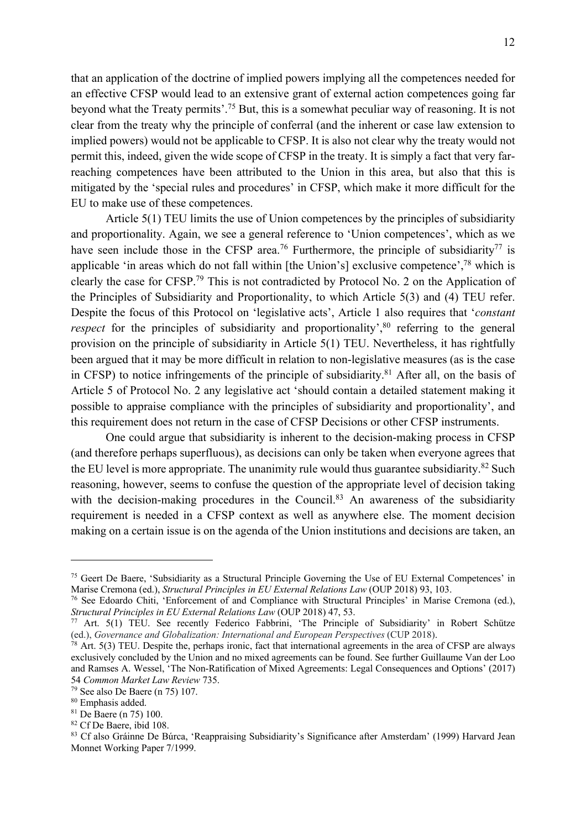that an application of the doctrine of implied powers implying all the competences needed for an effective CFSP would lead to an extensive grant of external action competences going far beyond what the Treaty permits'. <sup>75</sup> But, this is a somewhat peculiar way of reasoning. It is not clear from the treaty why the principle of conferral (and the inherent or case law extension to implied powers) would not be applicable to CFSP. It is also not clear why the treaty would not permit this, indeed, given the wide scope of CFSP in the treaty. It is simply a fact that very farreaching competences have been attributed to the Union in this area, but also that this is mitigated by the 'special rules and procedures' in CFSP, which make it more difficult for the EU to make use of these competences.

Article 5(1) TEU limits the use of Union competences by the principles of subsidiarity and proportionality. Again, we see a general reference to 'Union competences', which as we have seen include those in the CFSP area.<sup>76</sup> Furthermore, the principle of subsidiarity<sup>77</sup> is applicable 'in areas which do not fall within [the Union's] exclusive competence',<sup>78</sup> which is clearly the case for CFSP.79 This is not contradicted by Protocol No. 2 on the Application of the Principles of Subsidiarity and Proportionality, to which Article 5(3) and (4) TEU refer. Despite the focus of this Protocol on 'legislative acts', Article 1 also requires that '*constant respect* for the principles of subsidiarity and proportionality',<sup>80</sup> referring to the general provision on the principle of subsidiarity in Article 5(1) TEU. Nevertheless, it has rightfully been argued that it may be more difficult in relation to non-legislative measures (as is the case in CFSP) to notice infringements of the principle of subsidiarity.81 After all, on the basis of Article 5 of Protocol No. 2 any legislative act 'should contain a detailed statement making it possible to appraise compliance with the principles of subsidiarity and proportionality', and this requirement does not return in the case of CFSP Decisions or other CFSP instruments.

One could argue that subsidiarity is inherent to the decision-making process in CFSP (and therefore perhaps superfluous), as decisions can only be taken when everyone agrees that the EU level is more appropriate. The unanimity rule would thus guarantee subsidiarity.<sup>82</sup> Such reasoning, however, seems to confuse the question of the appropriate level of decision taking with the decision-making procedures in the Council.<sup>83</sup> An awareness of the subsidiarity requirement is needed in a CFSP context as well as anywhere else. The moment decision making on a certain issue is on the agenda of the Union institutions and decisions are taken, an

<sup>&</sup>lt;sup>75</sup> Geert De Baere, 'Subsidiarity as a Structural Principle Governing the Use of EU External Competences' in Marise Cremona (ed.), *Structural Principles in EU External Relations Law* (OUP 2018) 93, 103.

<sup>76</sup> See Edoardo Chiti, 'Enforcement of and Compliance with Structural Principles' in Marise Cremona (ed.), *Structural Principles in EU External Relations Law* (OUP 2018) 47, 53.

<sup>77</sup> Art. 5(1) TEU. See recently Federico Fabbrini, 'The Principle of Subsidiarity' in Robert Schütze (ed.), *Governance and Globalization: International and European Perspectives* (CUP 2018).

 $78$  Art. 5(3) TEU. Despite the, perhaps ironic, fact that international agreements in the area of CFSP are always exclusively concluded by the Union and no mixed agreements can be found. See further Guillaume Van der Loo and Ramses A. Wessel, 'The Non-Ratification of Mixed Agreements: Legal Consequences and Options' (2017) 54 *Common Market Law Review* 735.

<sup>&</sup>lt;sup>79</sup> See also De Baere (n 75) 107.<br><sup>80</sup> Emphasis added.

<sup>81</sup> De Baere (n 75) 100.

 $82$  Cf De Baere, ibid 108.<br><sup>83</sup> Cf also Gráinne De Búrca, 'Reappraising Subsidiarity's Significance after Amsterdam' (1999) Harvard Jean Monnet Working Paper 7/1999.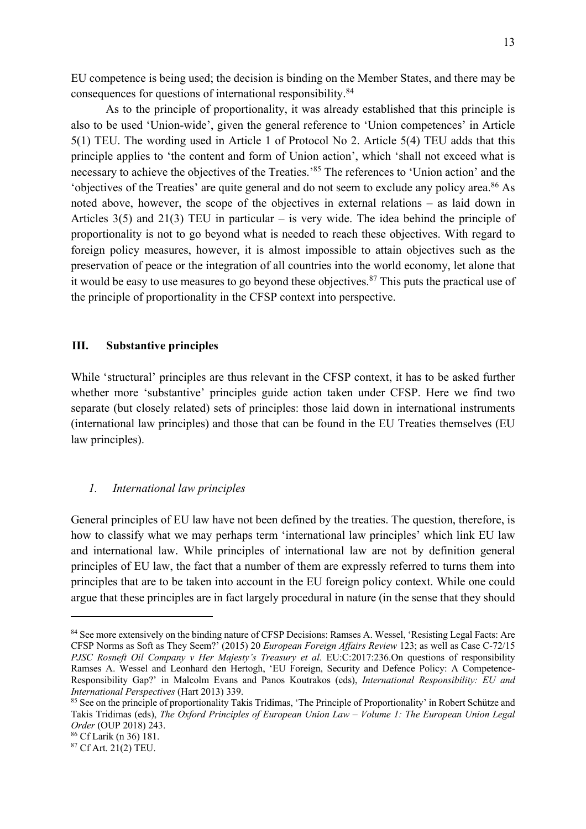EU competence is being used; the decision is binding on the Member States, and there may be consequences for questions of international responsibility.84

As to the principle of proportionality, it was already established that this principle is also to be used 'Union-wide', given the general reference to 'Union competences' in Article 5(1) TEU. The wording used in Article 1 of Protocol No 2. Article 5(4) TEU adds that this principle applies to 'the content and form of Union action', which 'shall not exceed what is necessary to achieve the objectives of the Treaties.<sup>85</sup> The references to 'Union action' and the 'objectives of the Treaties' are quite general and do not seem to exclude any policy area.86 As noted above, however, the scope of the objectives in external relations – as laid down in Articles  $3(5)$  and  $21(3)$  TEU in particular – is very wide. The idea behind the principle of proportionality is not to go beyond what is needed to reach these objectives. With regard to foreign policy measures, however, it is almost impossible to attain objectives such as the preservation of peace or the integration of all countries into the world economy, let alone that it would be easy to use measures to go beyond these objectives.<sup>87</sup> This puts the practical use of the principle of proportionality in the CFSP context into perspective.

# **III. Substantive principles**

While 'structural' principles are thus relevant in the CFSP context, it has to be asked further whether more 'substantive' principles guide action taken under CFSP. Here we find two separate (but closely related) sets of principles: those laid down in international instruments (international law principles) and those that can be found in the EU Treaties themselves (EU law principles).

#### *1. International law principles*

General principles of EU law have not been defined by the treaties. The question, therefore, is how to classify what we may perhaps term 'international law principles' which link EU law and international law. While principles of international law are not by definition general principles of EU law, the fact that a number of them are expressly referred to turns them into principles that are to be taken into account in the EU foreign policy context. While one could argue that these principles are in fact largely procedural in nature (in the sense that they should

<sup>84</sup> See more extensively on the binding nature of CFSP Decisions: Ramses A. Wessel, 'Resisting Legal Facts: Are CFSP Norms as Soft as They Seem?' (2015) 20 *European Foreign Affairs Review* 123; as well as Case C-72/15 *PJSC Rosneft Oil Company v Her Majesty's Treasury et al.* EU:C:2017:236.On questions of responsibility Ramses A. Wessel and Leonhard den Hertogh, 'EU Foreign, Security and Defence Policy: A Competence-Responsibility Gap?' in Malcolm Evans and Panos Koutrakos (eds), *International Responsibility: EU and International Perspectives* (Hart 2013) 339.

<sup>&</sup>lt;sup>85</sup> See on the principle of proportionality Takis Tridimas, 'The Principle of Proportionality' in Robert Schütze and Takis Tridimas (eds), *The Oxford Principles of European Union Law – Volume 1: The European Union Legal Order* (OUP 2018) 243.

<sup>86</sup> Cf Larik (n 36) 181.

<sup>87</sup> Cf Art. 21(2) TEU.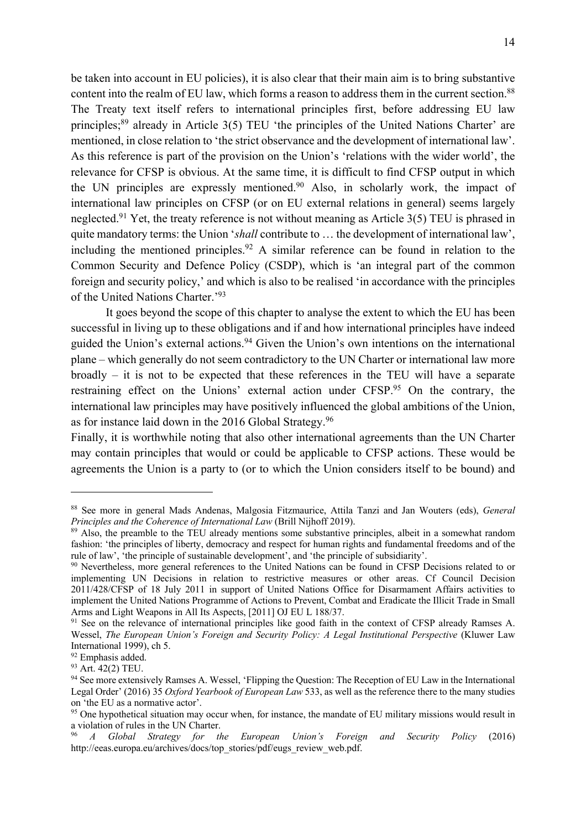be taken into account in EU policies), it is also clear that their main aim is to bring substantive content into the realm of EU law, which forms a reason to address them in the current section.<sup>88</sup> The Treaty text itself refers to international principles first, before addressing EU law principles;<sup>89</sup> already in Article 3(5) TEU 'the principles of the United Nations Charter' are mentioned, in close relation to 'the strict observance and the development of international law'. As this reference is part of the provision on the Union's 'relations with the wider world', the relevance for CFSP is obvious. At the same time, it is difficult to find CFSP output in which the UN principles are expressly mentioned.<sup>90</sup> Also, in scholarly work, the impact of international law principles on CFSP (or on EU external relations in general) seems largely neglected.<sup>91</sup> Yet, the treaty reference is not without meaning as Article 3(5) TEU is phrased in quite mandatory terms: the Union '*shall* contribute to … the development of international law', including the mentioned principles.<sup>92</sup> A similar reference can be found in relation to the Common Security and Defence Policy (CSDP), which is 'an integral part of the common foreign and security policy,' and which is also to be realised 'in accordance with the principles of the United Nations Charter.'93

It goes beyond the scope of this chapter to analyse the extent to which the EU has been successful in living up to these obligations and if and how international principles have indeed guided the Union's external actions.<sup>94</sup> Given the Union's own intentions on the international plane – which generally do not seem contradictory to the UN Charter or international law more broadly – it is not to be expected that these references in the TEU will have a separate restraining effect on the Unions' external action under CFSP.<sup>95</sup> On the contrary, the international law principles may have positively influenced the global ambitions of the Union, as for instance laid down in the 2016 Global Strategy.96

Finally, it is worthwhile noting that also other international agreements than the UN Charter may contain principles that would or could be applicable to CFSP actions. These would be agreements the Union is a party to (or to which the Union considers itself to be bound) and

<sup>88</sup> See more in general Mads Andenas, Malgosia Fitzmaurice, Attila Tanzi and Jan Wouters (eds), *General Principles and the Coherence of International Law* (Brill Nijhoff 2019).

<sup>&</sup>lt;sup>89</sup> Also, the preamble to the TEU already mentions some substantive principles, albeit in a somewhat random fashion: 'the principles of liberty, democracy and respect for human rights and fundamental freedoms and of the rule of law', 'the principle of sustainable development', and 'the principle of subsidiarity'.

<sup>90</sup> Nevertheless, more general references to the United Nations can be found in CFSP Decisions related to or implementing UN Decisions in relation to restrictive measures or other areas. Cf Council Decision 2011/428/CFSP of 18 July 2011 in support of United Nations Office for Disarmament Affairs activities to implement the United Nations Programme of Actions to Prevent, Combat and Eradicate the Illicit Trade in Small Arms and Light Weapons in All Its Aspects, [2011] OJ EU L 188/37.

<sup>&</sup>lt;sup>91</sup> See on the relevance of international principles like good faith in the context of CFSP already Ramses A. Wessel, *The European Union's Foreign and Security Policy: A Legal Institutional Perspective* (Kluwer Law International 1999), ch 5.

<sup>92</sup> Emphasis added.

 $93$  Art. 42(2) TEU.

<sup>94</sup> See more extensively Ramses A. Wessel, 'Flipping the Question: The Reception of EU Law in the International Legal Order' (2016) 35 *Oxford Yearbook of European Law* 533, as well as the reference there to the many studies on 'the EU as a normative actor'.

<sup>&</sup>lt;sup>95</sup> One hypothetical situation may occur when, for instance, the mandate of EU military missions would result in a violation of rules in the UN Charter.

<sup>96</sup> *A Global Strategy for the European Union's Foreign and Security Policy* (2016) http://eeas.europa.eu/archives/docs/top\_stories/pdf/eugs\_review\_web.pdf.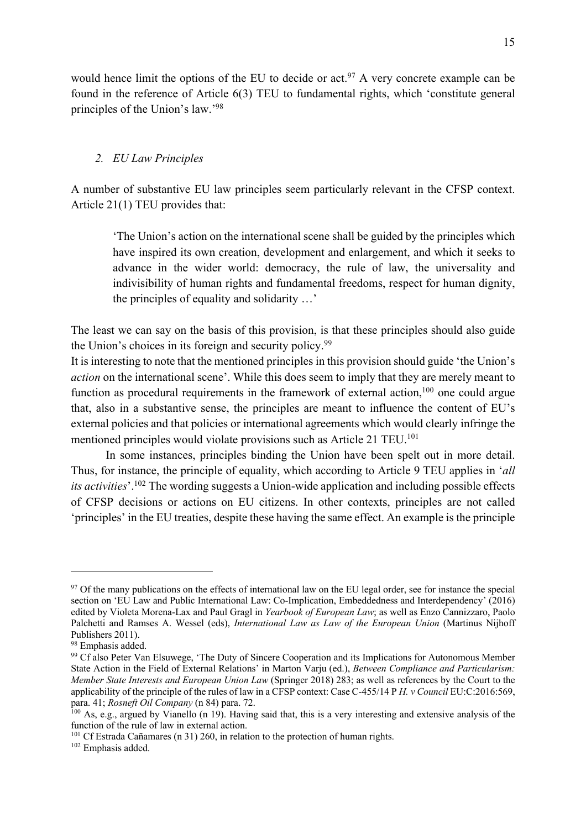would hence limit the options of the EU to decide or act.<sup>97</sup> A very concrete example can be found in the reference of Article 6(3) TEU to fundamental rights, which 'constitute general principles of the Union's law.'98

# *2. EU Law Principles*

A number of substantive EU law principles seem particularly relevant in the CFSP context. Article 21(1) TEU provides that:

'The Union's action on the international scene shall be guided by the principles which have inspired its own creation, development and enlargement, and which it seeks to advance in the wider world: democracy, the rule of law, the universality and indivisibility of human rights and fundamental freedoms, respect for human dignity, the principles of equality and solidarity …'

The least we can say on the basis of this provision, is that these principles should also guide the Union's choices in its foreign and security policy.<sup>99</sup>

It is interesting to note that the mentioned principles in this provision should guide 'the Union's *action* on the international scene'. While this does seem to imply that they are merely meant to function as procedural requirements in the framework of external action, $100$  one could argue that, also in a substantive sense, the principles are meant to influence the content of EU's external policies and that policies or international agreements which would clearly infringe the mentioned principles would violate provisions such as Article 21 TEU. 101

In some instances, principles binding the Union have been spelt out in more detail. Thus, for instance, the principle of equality, which according to Article 9 TEU applies in '*all its activities*'.102 The wording suggests a Union-wide application and including possible effects of CFSP decisions or actions on EU citizens. In other contexts, principles are not called 'principles' in the EU treaties, despite these having the same effect. An example is the principle

<sup>&</sup>lt;sup>97</sup> Of the many publications on the effects of international law on the EU legal order, see for instance the special section on 'EU Law and Public International Law: Co-Implication, Embeddedness and Interdependency' (2016) edited by Violeta Morena-Lax and Paul Gragl in *Yearbook of European Law*; as well as Enzo Cannizzaro, Paolo Palchetti and Ramses A. Wessel (eds), *International Law as Law of the European Union* (Martinus Nijhoff Publishers 2011).

<sup>&</sup>lt;sup>98</sup> Emphasis added.

<sup>&</sup>lt;sup>99</sup> Cf also Peter Van Elsuwege, 'The Duty of Sincere Cooperation and its Implications for Autonomous Member State Action in the Field of External Relations' in Marton Varju (ed.), *Between Compliance and Particularism: Member State Interests and European Union Law* (Springer 2018) 283; as well as references by the Court to the applicability of the principle of the rules of law in a CFSP context: Case C-455/14 P *H. v Council* EU:C:2016:569, para. 41; *Rosneft Oil Company* (n 84) para. 72.

<sup>100</sup> As, e.g., argued by Vianello (n 19). Having said that, this is a very interesting and extensive analysis of the function of the rule of law in external action.

<sup>101</sup> Cf Estrada Cañamares (n 31) 260, in relation to the protection of human rights.

<sup>102</sup> Emphasis added.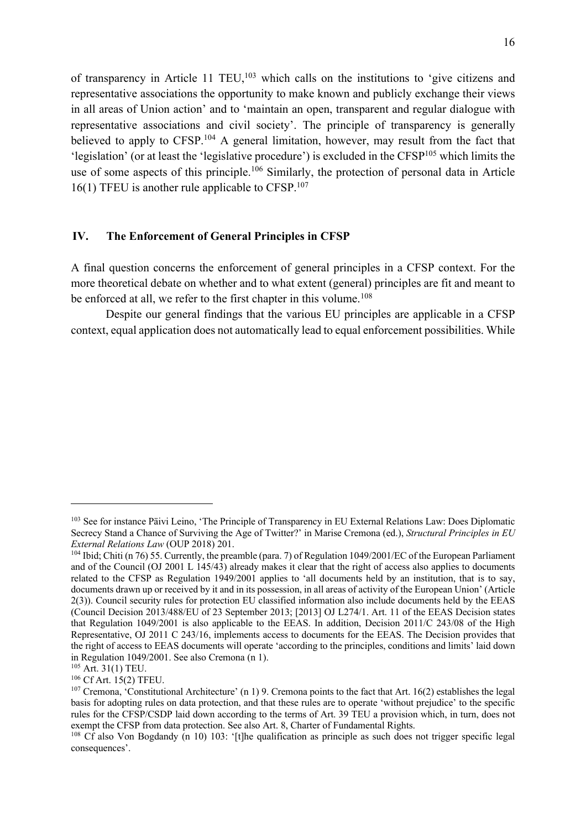of transparency in Article 11 TEU,<sup>103</sup> which calls on the institutions to 'give citizens and representative associations the opportunity to make known and publicly exchange their views in all areas of Union action' and to 'maintain an open, transparent and regular dialogue with representative associations and civil society'. The principle of transparency is generally believed to apply to CFSP.<sup>104</sup> A general limitation, however, may result from the fact that 'legislation' (or at least the 'legislative procedure') is excluded in the CFSP105 which limits the use of some aspects of this principle.<sup>106</sup> Similarly, the protection of personal data in Article  $16(1)$  TFEU is another rule applicable to CFSP.<sup>107</sup>

### **IV. The Enforcement of General Principles in CFSP**

A final question concerns the enforcement of general principles in a CFSP context. For the more theoretical debate on whether and to what extent (general) principles are fit and meant to be enforced at all, we refer to the first chapter in this volume.<sup>108</sup>

Despite our general findings that the various EU principles are applicable in a CFSP context, equal application does not automatically lead to equal enforcement possibilities. While

<sup>&</sup>lt;sup>103</sup> See for instance Päivi Leino, 'The Principle of Transparency in EU External Relations Law: Does Diplomatic Secrecy Stand a Chance of Surviving the Age of Twitter?' in Marise Cremona (ed.), *Structural Principles in EU External Relations Law* (OUP 2018) 201.

<sup>104</sup> Ibid; Chiti (n 76) 55. Currently, the preamble (para. 7) of Regulation 1049/2001/EC of the European Parliament and of the Council (OJ 2001 L 145/43) already makes it clear that the right of access also applies to documents related to the CFSP as Regulation 1949/2001 applies to 'all documents held by an institution, that is to say, documents drawn up or received by it and in its possession, in all areas of activity of the European Union' (Article 2(3)). Council security rules for protection EU classified information also include documents held by the EEAS (Council Decision 2013/488/EU of 23 September 2013; [2013] OJ L274/1. Art. 11 of the EEAS Decision states that Regulation 1049/2001 is also applicable to the EEAS. In addition, Decision 2011/C 243/08 of the High Representative, OJ 2011 C 243/16, implements access to documents for the EEAS. The Decision provides that the right of access to EEAS documents will operate 'according to the principles, conditions and limits' laid down in Regulation 1049/2001. See also Cremona (n 1).

<sup>105</sup> Art. 31(1) TEU.

<sup>106</sup> Cf Art. 15(2) TFEU.

<sup>&</sup>lt;sup>107</sup> Cremona, 'Constitutional Architecture' (n 1) 9. Cremona points to the fact that Art. 16(2) establishes the legal basis for adopting rules on data protection, and that these rules are to operate 'without prejudice' to the specific rules for the CFSP/CSDP laid down according to the terms of Art. 39 TEU a provision which, in turn, does not exempt the CFSP from data protection. See also Art. 8, Charter of Fundamental Rights.

<sup>&</sup>lt;sup>108</sup> Cf also Von Bogdandy (n 10) 103: '[t]he qualification as principle as such does not trigger specific legal consequences'.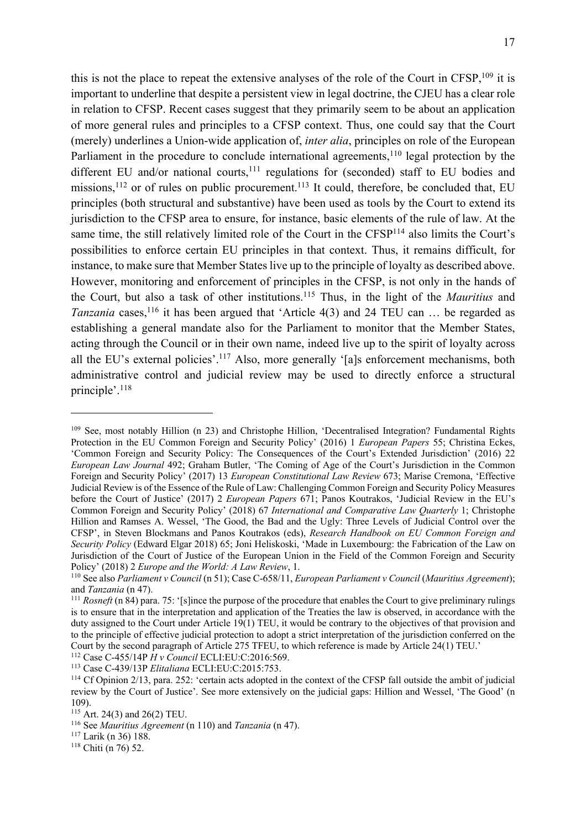this is not the place to repeat the extensive analyses of the role of the Court in CFSP,109 it is important to underline that despite a persistent view in legal doctrine, the CJEU has a clear role in relation to CFSP. Recent cases suggest that they primarily seem to be about an application of more general rules and principles to a CFSP context. Thus, one could say that the Court (merely) underlines a Union-wide application of, *inter alia*, principles on role of the European Parliament in the procedure to conclude international agreements,<sup>110</sup> legal protection by the different EU and/or national courts, $111$  regulations for (seconded) staff to EU bodies and missions, $^{112}$  or of rules on public procurement. $^{113}$  It could, therefore, be concluded that, EU principles (both structural and substantive) have been used as tools by the Court to extend its jurisdiction to the CFSP area to ensure, for instance, basic elements of the rule of law. At the same time, the still relatively limited role of the Court in the CFSP<sup>114</sup> also limits the Court's possibilities to enforce certain EU principles in that context. Thus, it remains difficult, for instance, to make sure that Member States live up to the principle of loyalty as described above. However, monitoring and enforcement of principles in the CFSP, is not only in the hands of the Court, but also a task of other institutions.115 Thus, in the light of the *Mauritius* and *Tanzania* cases,<sup>116</sup> it has been argued that 'Article 4(3) and 24 TEU can ... be regarded as establishing a general mandate also for the Parliament to monitor that the Member States, acting through the Council or in their own name, indeed live up to the spirit of loyalty across all the EU's external policies'.<sup>117</sup> Also, more generally '[a]s enforcement mechanisms, both administrative control and judicial review may be used to directly enforce a structural principle'. 118

<sup>109</sup> See, most notably Hillion (n 23) and Christophe Hillion, 'Decentralised Integration? Fundamental Rights Protection in the EU Common Foreign and Security Policy' (2016) 1 *European Papers* 55; Christina Eckes, 'Common Foreign and Security Policy: The Consequences of the Court's Extended Jurisdiction' (2016) 22 *European Law Journal* 492; Graham Butler, 'The Coming of Age of the Court's Jurisdiction in the Common Foreign and Security Policy' (2017) 13 *European Constitutional Law Review* 673; Marise Cremona, 'Effective Judicial Review is of the Essence of the Rule of Law: Challenging Common Foreign and Security Policy Measures before the Court of Justice' (2017) 2 *European Papers* 671; Panos Koutrakos, 'Judicial Review in the EU's Common Foreign and Security Policy' (2018) 67 *International and Comparative Law Quarterly* 1; Christophe Hillion and Ramses A. Wessel, 'The Good, the Bad and the Ugly: Three Levels of Judicial Control over the CFSP', in Steven Blockmans and Panos Koutrakos (eds), *Research Handbook on EU Common Foreign and Security Policy* (Edward Elgar 2018) 65; Joni Heliskoski, 'Made in Luxembourg: the Fabrication of the Law on Jurisdiction of the Court of Justice of the European Union in the Field of the Common Foreign and Security Policy' (2018) 2 *Europe and the World: A Law Review*, 1.

<sup>110</sup> See also *Parliament v Council* (n 51); Case C-658/11, *European Parliament v Council* (*Mauritius Agreement*); and *Tanzania* (n 47).

<sup>&</sup>lt;sup>111</sup> *Rosneft* (n 84) para. 75: '[s]ince the purpose of the procedure that enables the Court to give preliminary rulings is to ensure that in the interpretation and application of the Treaties the law is observed, in accordance with the duty assigned to the Court under Article 19(1) TEU, it would be contrary to the objectives of that provision and to the principle of effective judicial protection to adopt a strict interpretation of the jurisdiction conferred on the Court by the second paragraph of Article 275 TFEU, to which reference is made by Article 24(1) TEU.'

<sup>112</sup> Case C-455/14P *H v Council* ECLI:EU:C:2016:569.

<sup>113</sup> Case C-439/13P *Elitaliana* ECLI:EU:C:2015:753.

<sup>114</sup> Cf Opinion 2/13, para. 252: 'certain acts adopted in the context of the CFSP fall outside the ambit of judicial review by the Court of Justice'. See more extensively on the judicial gaps: Hillion and Wessel, 'The Good' (n 109).<br><sup>115</sup> Art. 24(3) and 26(2) TEU.

<sup>&</sup>lt;sup>116</sup> See *Mauritius Agreement* (n 110) and *Tanzania* (n 47).

<sup>117</sup> Larik (n 36) 188.

<sup>118</sup> Chiti (n 76) 52.